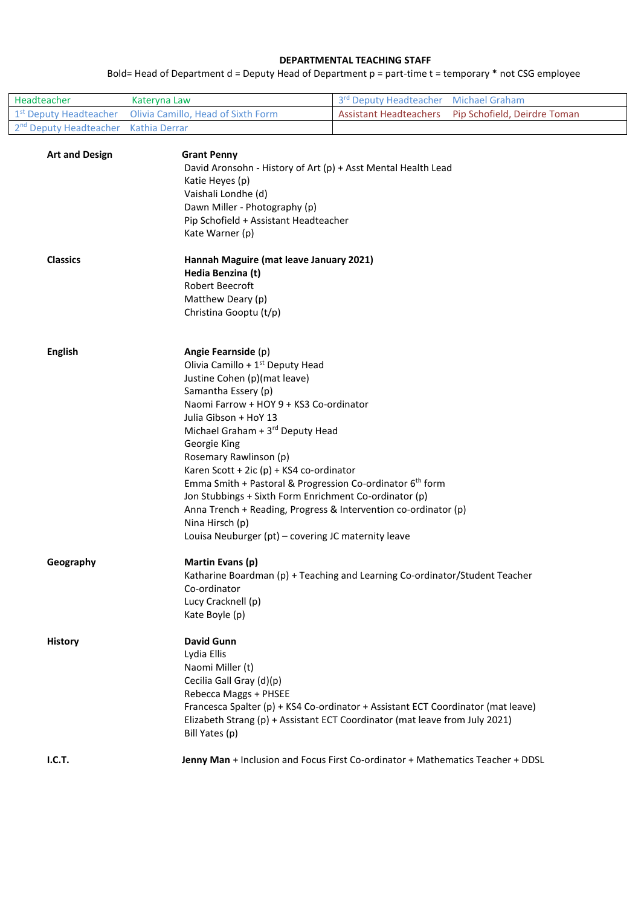#### **DEPARTMENTAL TEACHING STAFF**

Bold= Head of Department d = Deputy Head of Department p = part-time t = temporary \* not CSG employee

| Headteacher                                      | Kateryna Law                                                                        | 3rd Deputy Headteacher Michael Graham |                                                     |
|--------------------------------------------------|-------------------------------------------------------------------------------------|---------------------------------------|-----------------------------------------------------|
|                                                  | $\frac{1}{1}$ 1 <sup>st</sup> Deputy Headteacher Olivia Camillo, Head of Sixth Form |                                       | Assistant Headteachers Pip Schofield, Deirdre Toman |
| 2 <sup>nd</sup> Deputy Headteacher Kathia Derrar |                                                                                     |                                       |                                                     |

| <b>Art and Design</b> | <b>Grant Penny</b><br>David Aronsohn - History of Art (p) + Asst Mental Health Lead<br>Katie Heyes (p)<br>Vaishali Londhe (d)<br>Dawn Miller - Photography (p)<br>Pip Schofield + Assistant Headteacher<br>Kate Warner (p) |
|-----------------------|----------------------------------------------------------------------------------------------------------------------------------------------------------------------------------------------------------------------------|
| <b>Classics</b>       | Hannah Maguire (mat leave January 2021)                                                                                                                                                                                    |
|                       | Hedia Benzina (t)<br>Robert Beecroft                                                                                                                                                                                       |
|                       | Matthew Deary (p)                                                                                                                                                                                                          |
|                       | Christina Gooptu (t/p)                                                                                                                                                                                                     |
| <b>English</b>        | Angie Fearnside (p)                                                                                                                                                                                                        |
|                       | Olivia Camillo + 1 <sup>st</sup> Deputy Head                                                                                                                                                                               |
|                       | Justine Cohen (p)(mat leave)                                                                                                                                                                                               |
|                       | Samantha Essery (p)<br>Naomi Farrow + HOY 9 + KS3 Co-ordinator                                                                                                                                                             |
|                       | Julia Gibson + HoY 13                                                                                                                                                                                                      |
|                       | Michael Graham + 3rd Deputy Head                                                                                                                                                                                           |
|                       | Georgie King                                                                                                                                                                                                               |
|                       | Rosemary Rawlinson (p)                                                                                                                                                                                                     |
|                       | Karen Scott + 2ic (p) + KS4 co-ordinator                                                                                                                                                                                   |
|                       | Emma Smith + Pastoral & Progression Co-ordinator 6 <sup>th</sup> form                                                                                                                                                      |
|                       | Jon Stubbings + Sixth Form Enrichment Co-ordinator (p)                                                                                                                                                                     |
|                       | Anna Trench + Reading, Progress & Intervention co-ordinator (p)<br>Nina Hirsch (p)                                                                                                                                         |
|                       | Louisa Neuburger (pt) - covering JC maternity leave                                                                                                                                                                        |
| Geography             | Martin Evans (p)                                                                                                                                                                                                           |
|                       | Katharine Boardman (p) + Teaching and Learning Co-ordinator/Student Teacher<br>Co-ordinator                                                                                                                                |
|                       | Lucy Cracknell (p)                                                                                                                                                                                                         |
|                       | Kate Boyle (p)                                                                                                                                                                                                             |
| <b>History</b>        | <b>David Gunn</b>                                                                                                                                                                                                          |
|                       | Lydia Ellis                                                                                                                                                                                                                |
|                       | Naomi Miller (t)<br>Cecilia Gall Gray (d)(p)                                                                                                                                                                               |
|                       | Rebecca Maggs + PHSEE                                                                                                                                                                                                      |
|                       | Francesca Spalter (p) + KS4 Co-ordinator + Assistant ECT Coordinator (mat leave)                                                                                                                                           |
|                       | Elizabeth Strang (p) + Assistant ECT Coordinator (mat leave from July 2021)<br>Bill Yates (p)                                                                                                                              |
| I.C.T.                | Jenny Man + Inclusion and Focus First Co-ordinator + Mathematics Teacher + DDSL                                                                                                                                            |
|                       |                                                                                                                                                                                                                            |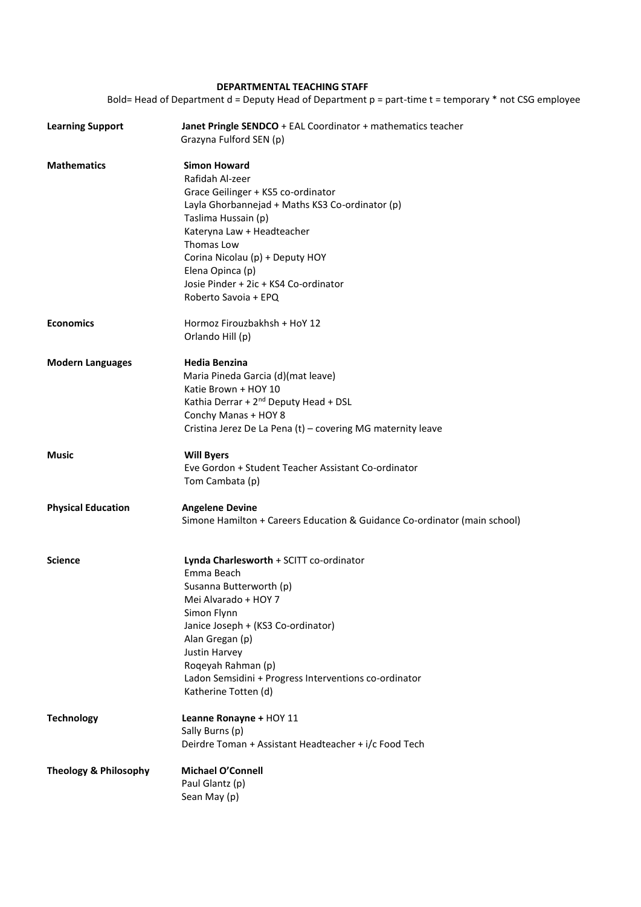## **DEPARTMENTAL TEACHING STAFF**

Bold= Head of Department d = Deputy Head of Department p = part-time t = temporary \* not CSG employee

| <b>Learning Support</b>          | Janet Pringle SENDCO + EAL Coordinator + mathematics teacher<br>Grazyna Fulford SEN (p)                                                                                                                                                                                                                                    |
|----------------------------------|----------------------------------------------------------------------------------------------------------------------------------------------------------------------------------------------------------------------------------------------------------------------------------------------------------------------------|
| <b>Mathematics</b>               | <b>Simon Howard</b><br>Rafidah Al-zeer<br>Grace Geilinger + KS5 co-ordinator<br>Layla Ghorbannejad + Maths KS3 Co-ordinator (p)<br>Taslima Hussain (p)<br>Kateryna Law + Headteacher<br>Thomas Low<br>Corina Nicolau (p) + Deputy HOY<br>Elena Opinca (p)<br>Josie Pinder + 2ic + KS4 Co-ordinator<br>Roberto Savoia + EPQ |
| <b>Economics</b>                 | Hormoz Firouzbakhsh + HoY 12<br>Orlando Hill (p)                                                                                                                                                                                                                                                                           |
| <b>Modern Languages</b>          | Hedia Benzina<br>Maria Pineda Garcia (d)(mat leave)<br>Katie Brown + HOY 10<br>Kathia Derrar + 2 <sup>nd</sup> Deputy Head + DSL<br>Conchy Manas + HOY 8<br>Cristina Jerez De La Pena (t) - covering MG maternity leave                                                                                                    |
| <b>Music</b>                     | <b>Will Byers</b><br>Eve Gordon + Student Teacher Assistant Co-ordinator<br>Tom Cambata (p)                                                                                                                                                                                                                                |
| <b>Physical Education</b>        | <b>Angelene Devine</b><br>Simone Hamilton + Careers Education & Guidance Co-ordinator (main school)                                                                                                                                                                                                                        |
| <b>Science</b>                   | Lynda Charlesworth + SCITT co-ordinator<br>Emma Beach<br>Susanna Butterworth (p)<br>Mei Alvarado + HOY 7<br>Simon Flynn<br>Janice Joseph + (KS3 Co-ordinator)<br>Alan Gregan (p)<br><b>Justin Harvey</b><br>Roqeyah Rahman (p)<br>Ladon Semsidini + Progress Interventions co-ordinator<br>Katherine Totten (d)            |
| <b>Technology</b>                | Leanne Ronayne + HOY 11<br>Sally Burns (p)<br>Deirdre Toman + Assistant Headteacher + i/c Food Tech                                                                                                                                                                                                                        |
| <b>Theology &amp; Philosophy</b> | <b>Michael O'Connell</b><br>Paul Glantz (p)<br>Sean May (p)                                                                                                                                                                                                                                                                |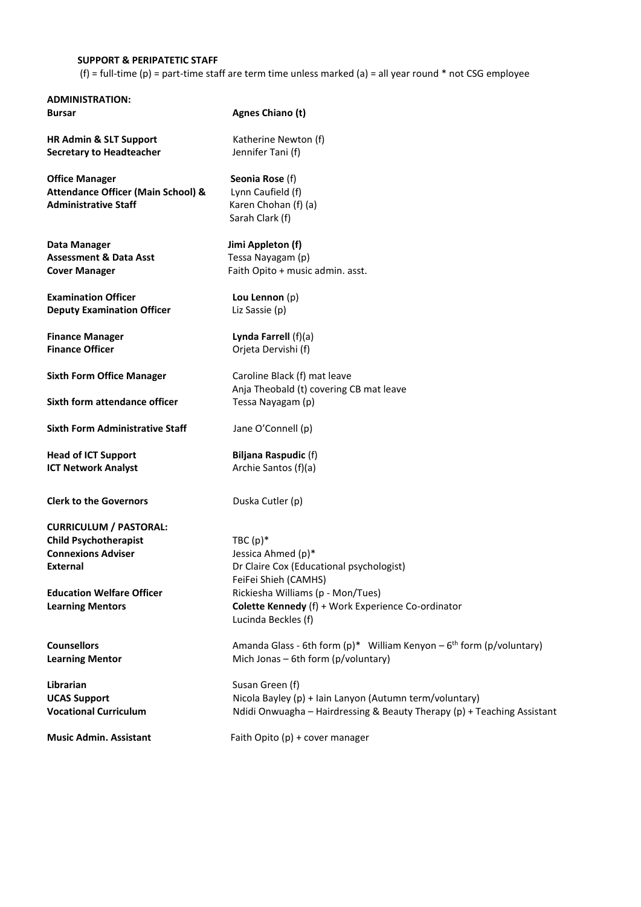#### **SUPPORT & PERIPATETIC STAFF**

**ADMINISTRATION:**

(f) = full-time (p) = part-time staff are term time unless marked (a) = all year round  $*$  not CSG employee

**Bursar Agnes Chiano (t) HR Admin & SLT Support Katherine Newton (f) Secretary to Headteacher** Jennifer Tani (f) **Office Manager** Seonia Rose (f) **Attendance Officer (Main School) &** Lynn Caufield (f) **Administrative Staff Karen Chohan (f) (a)** Sarah Clark (f) Data Manager **Jimi Appleton (f) Assessment & Data Asst Tessa Nayagam (p) Cover Manager**  Faith Opito + music admin. asst. **Examination Officer Lou Lennon** (p) **Deputy Examination Officer Liz Sassie (p) Finance Manager Lynda Farrell** (f)(a) **Finance Officer Calculate Contract Contract Orieta Dervishi (f) Sixth Form Office Manager Caroline Black (f) mat leave** Anja Theobald (t) covering CB mat leave **Sixth form attendance officer Tessa Nayagam (p) Sixth Form Administrative Staff** Jane O'Connell (p) **Head of ICT Support Biljana Raspudic (f) ICT Network Analyst Archie Santos (f)(a) Clerk to the Governors Duska Cutler (p) CURRICULUM / PASTORAL: Child Psychotherapist** TBC (p)\* **Connexions Adviser Jessica Ahmed (p)\* External External** Dr Claire Cox (Educational psychologist) FeiFei Shieh (CAMHS) **Education Welfare Officer Rickiesha Williams (p - Mon/Tues) Learning Mentors Colette Kennedy** (f) + Work Experience Co-ordinator Lucinda Beckles (f) **Counsellors Amanda Glass - 6th form (p)\*** William Kenyon – 6<sup>th</sup> form (p/voluntary) **Countary Learning Mentor** Mich Jonas – 6th form (p/voluntary) **Librarian** Susan Green (f) **UCAS Support Nicola Bayley (p) + Iain Lanyon (Autumn term/voluntary) Nicola Bayley (p) + Iain Lanyon (Autumn term/voluntary) Vocational Curriculum 1990 Medici Onwuagha – Hairdressing & Beauty Therapy (p) + Teaching Assistant Music Admin. Assistant Faith Opito (p) + cover manager**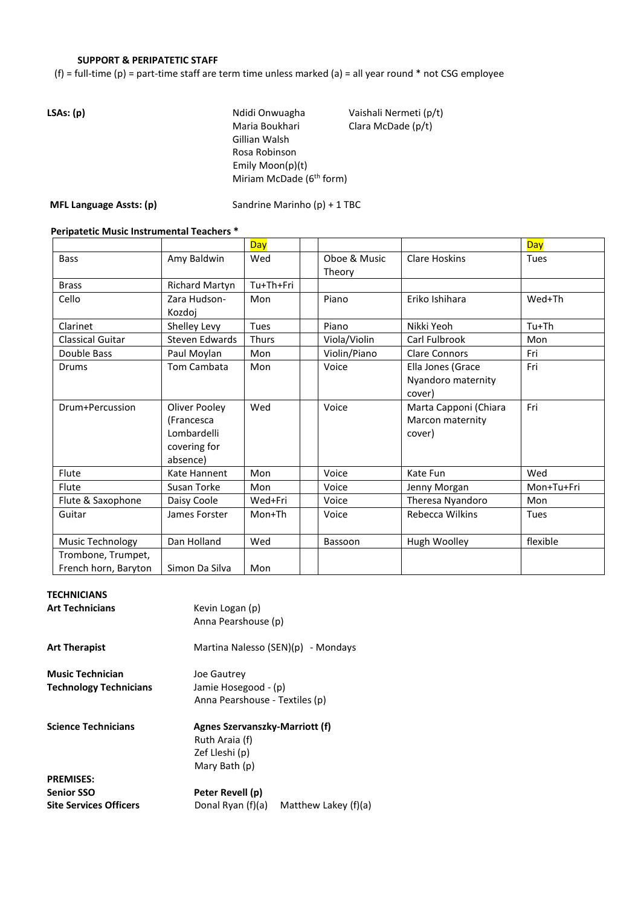## **SUPPORT & PERIPATETIC STAFF**

(f) = full-time (p) = part-time staff are term time unless marked (a) = all year round  $*$  not CSG employee

| LSAs: (p) | Ndidi Onwuagha                       | Vaishali Nermeti (p/t) |
|-----------|--------------------------------------|------------------------|
|           | Maria Boukhari                       | Clara McDade (p/t)     |
|           | Gillian Walsh                        |                        |
|           | Rosa Robinson                        |                        |
|           | Emily Moon( $p$ )( $t$ )             |                        |
|           | Miriam McDade (6 <sup>th</sup> form) |                        |
|           |                                      |                        |

**MFL Language Assts: (p)** Sandrine Marinho (p) + 1 TBC

## **Peripatetic Music Instrumental Teachers \***

|                                            |                                                                        | <b>Day</b>   |                        |                                                     | <b>Day</b> |
|--------------------------------------------|------------------------------------------------------------------------|--------------|------------------------|-----------------------------------------------------|------------|
| <b>Bass</b>                                | Amy Baldwin                                                            | Wed          | Oboe & Music<br>Theory | <b>Clare Hoskins</b>                                | Tues       |
| <b>Brass</b>                               | Richard Martyn                                                         | Tu+Th+Fri    |                        |                                                     |            |
| Cello                                      | Zara Hudson-<br>Kozdoj                                                 | Mon          | Piano                  | Eriko Ishihara                                      | Wed+Th     |
| Clarinet                                   | Shelley Levy                                                           | <b>Tues</b>  | Piano                  | Nikki Yeoh                                          | $Tu+Th$    |
| <b>Classical Guitar</b>                    | Steven Edwards                                                         | <b>Thurs</b> | Viola/Violin           | Carl Fulbrook                                       | Mon        |
| Double Bass                                | Paul Moylan                                                            | Mon          | Violin/Piano           | <b>Clare Connors</b>                                | Fri        |
| Drums                                      | Tom Cambata                                                            | Mon          | Voice                  | Ella Jones (Grace<br>Nyandoro maternity<br>cover)   | Fri        |
| Drum+Percussion                            | Oliver Pooley<br>(Francesca<br>Lombardelli<br>covering for<br>absence) | Wed          | Voice                  | Marta Capponi (Chiara<br>Marcon maternity<br>cover) | Fri        |
| Flute                                      | Kate Hannent                                                           | Mon          | Voice                  | Kate Fun                                            | Wed        |
| Flute                                      | Susan Torke                                                            | Mon          | Voice                  | Jenny Morgan                                        | Mon+Tu+Fri |
| Flute & Saxophone                          | Daisy Coole                                                            | Wed+Fri      | Voice                  | Theresa Nyandoro                                    | Mon        |
| Guitar                                     | James Forster                                                          | Mon+Th       | Voice                  | Rebecca Wilkins                                     | Tues       |
| Music Technology                           | Dan Holland                                                            | Wed          | Bassoon                | Hugh Woolley                                        | flexible   |
| Trombone, Trumpet,<br>French horn, Baryton | Simon Da Silva                                                         | Mon          |                        |                                                     |            |

#### **TECHNICIANS**

| <b>Art Technicians</b>                                                 | Kevin Logan (p)<br>Anna Pearshouse (p)                                              |                      |
|------------------------------------------------------------------------|-------------------------------------------------------------------------------------|----------------------|
| <b>Art Therapist</b>                                                   | Martina Nalesso (SEN)(p) - Mondays                                                  |                      |
| <b>Music Technician</b><br><b>Technology Technicians</b>               | Joe Gautrey<br>Jamie Hosegood - (p)<br>Anna Pearshouse - Textiles (p)               |                      |
| <b>Science Technicians</b>                                             | Agnes Szervanszky-Marriott (f)<br>Ruth Araia (f)<br>Zef Lleshi (p)<br>Mary Bath (p) |                      |
| <b>PREMISES:</b><br><b>Senior SSO</b><br><b>Site Services Officers</b> | Peter Revell (p)<br>Donal Ryan (f)(a)                                               | Matthew Lakey (f)(a) |